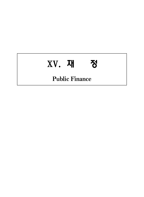# ⅩⅤ. 재 정

# **Public Finance**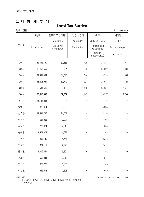#### **1. 지 방 세 부 담**

#### **Local Tax Burden**

단위 : 천원 Unit : 1,000 won 연 별 지방세 ┃ 인구(외국인제외) ┃ 1인당 부담액 ┃ │ 세대 ┃ │ │ 세대당 Population | Tax burden | (외국인세대 제외) | 부담액 Local taxes | (Excluding<br>foreigners) foreigners) Per capita Households (Excluding Tax burden per foreign households) household 2004 32,432,760 62,336 428 24,743 1,077 2005 33,463,659 62,004 539 25,069 1,334 2006 39,641,984 61,546 644 25,338 1,565 2007 46,805,951 60,742 771 25,643 1,825 2008 68,544,539 60,106 1,140 25,957 2,641 2009 68,410,695 59,837 1,143 25,337 2,700 본 청 16,784,236  $\overline{a}$ - - - 영암읍 3,622,614 9,526 - 3,834 - 삼호읍 39,594,786 21,057 - 5,116 - 덕진면 564,965 2,091 - 3,466 - 금정면 779,974 2,315 - 1,063 - 신북면 1,571,072 4,629 - 1,163 - 시종면 998,142 4,745 - 2,238 - 도포면 821,111 2,776 - 2,411 - 군서면 1,316,451 3,894  $\overline{a}$ 1,392 - 서호면 558,044 2,311 - 1,847 - 학산면 972,722 3,685 - 1,108 - 미암면 826,578 2,808  $\overline{a}$ 1,699 -

자료 : 재무과

 주 : 1) 간접세는 마권세, 담배소비세, 도축세, 주행세(2000년 신설)를 말함. 도세포함.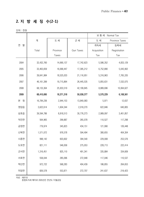# **2. 지 방 세 징 수(2-1)**

단위 : 천원

|        |              |            |            | 보통세 Normal Tax |                |
|--------|--------------|------------|------------|----------------|----------------|
|        | 계            | 도 세        | 군세         | 도 세            | Province Taxes |
| 연<br>별 |              |            |            | 취득세            | 등록세            |
|        | Total        | Province   | Gun Taxes  | Acquisition    | Registration   |
|        |              | Taxes      |            | Tax            | Tax            |
| 2004   | 32,432,760   | 14,690,137 | 17,742,623 | 5,586,352      | 4,833,129      |
| 2005   | 33,463,659   | 16,068,447 | 17,395,212 | 6,752,890      | 5,043,902      |
| 2006   | 39,641,984   | 18,525,033 | 21,116,951 | 5,316,963      | 7,765,335      |
| 2007   | 46, 161, 399 | 19,715,864 | 26,445,535 | 5,855,631      | 7,532,075      |
| 2008   | 68,133,364   | 25,933,519 | 42,199,845 | 8,889,696      | 10,064,627     |
| 2009   | 68,410,695   | 18,371,318 | 50,039,377 | 5,570,229      | 6,108,561      |
| 본 청    | 16,784,236   | 2,944,153  | 13,840,083 | 5,971          | 12,637         |
| 영암읍    | 3,622,614    | 1,604,344  | 2,018,270  | 622,846        | 640,805        |
| 삼호읍    | 39,594,786   | 8,818,513  | 30,776,273 | 2,989,097      | 3,401,857      |
| 덕진면    | 564,965      | 299,887    | 265,078    | 110,527        | 117,298        |
| 금정면    | 779,974      | 345,823    | 434,151    | 121,990        | 126,448        |
| 신북면    | 1,571,072    | 976,578    | 594,494    | 380,655        | 404,304        |
| 시종면    | 998,142      | 603,602    | 394,540    | 229,008        | 253,576        |
| 도포면    | 821,111      | 546,058    | 275,053    | 228,713        | 222,414        |
| 군서면    | 1,316,451    | 825,110    | 491,341    | 335,884        | 334,609        |
| 서호면    | 558,044      | 285,096    | 272,948    | 117,046        | 110,537        |
| 학산면    | 972,722      | 568,283    | 404,439    | 186,855        | 264,653        |
| 미암면    | 826,578      | 553,871    | 272,707    | 241,637        | 219,423        |

자료 : 재무과

종합토지세 폐지로 2005년은 전년도 이월금임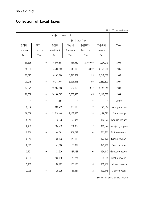## **Collection of Local Taxes**

Unit : Thousand won

|         |         |            | 군 세 Gun Tax |                  |           |                        |
|---------|---------|------------|-------------|------------------|-----------|------------------------|
| 면허세     | 레저세     | 주민세        | 재산세         | 종합토지세            | 자동차세      | Year                   |
| Licence | Leisure | Inhabitant | Property    | Total land       | Vehicle   |                        |
| Tax     | Tax     | Tax        | Tax         | Tax              | Tax       |                        |
| 59,638  |         | 5,909,893  | 961,639     | 2,305,559        | 1,934,019 | 2004                   |
| 56,900  |         | 4,766,985  | 2,649,198   | 73,012           | 2,023,200 | 2005                   |
| 67,095  |         | 6,165,760  | 3,310,809   | 95               | 2,348,387 | 2006                   |
| 70,016  |         | 9,717,444  | 3,921,516   | 1,190            | 2,689,620 | 2007                   |
| 67,971  |         | 19,904,306 | 3,537,158   | 377              | 3,019,918 | 2008                   |
| 72,658  |         | 24,100,307 | 3,708,366   | 45               | 3,415,005 | 2009                   |
|         |         | 1,654      |             | —                |           | Office                 |
| 8,592   |         | 882,419    | 395,190     | $\overline{c}$   | 541,517   | Yeongam-eup            |
| 28,559  |         | 22,528,448 | 2,158,466   | 28               | 1,499,690 | Samho-eup              |
| 5,948   |         | 43,175     | 90,077      | -                | 110,873   | Deokjin-myeon          |
| 2,436   |         | 104,713    | 201,022     | $\boldsymbol{7}$ | 110,877   | Geumjeong-myeon        |
| 5,956   |         | 99,763     | 201,738     |                  | 222,322   | Sinbuk-myeon           |
| 6,246   |         | 39,873     | 170,132     |                  | 177,170   | Sijong-myeon           |
| 2,815   |         | 41,326     | 85,699      |                  | 143,419   | Dopo-myeon             |
| 3,751   |         | 133,526    | 137,181     |                  |           | 194,117   Gunseo-myeon |
| 2,289   |         | 103,646    | 75,274      |                  | 88,885    | Seoho-myeon            |
| 3,130   |         | 86,725     | 105,133     | $\,6\,$          | 186,987   | Haksan-myeon           |
| 2,936   |         | 35,039     | 88,454      | $\overline{c}$   | 139,148   | Miam-myeon             |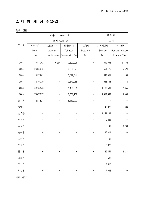# **2. 지 방 세 징 수(2-2)**

|        |                   | 보통세 Normal Tax | 목 적 세           |                 |           |                |
|--------|-------------------|----------------|-----------------|-----------------|-----------|----------------|
|        |                   |                | 군세 Gun Tax      |                 |           | 도 세            |
| 연<br>별 | 주행세 <sup>1)</sup> | 농업소득세          | 담배소비세           | 도축세             | 공동시설세     | 지역개발세          |
|        | Moter             | Agricult       | Tobacco         | <b>Butchery</b> | Service   | Regional deve- |
|        | fuel              | -ure income    | Consumption Tax | Tax             | Tax       | Iopment Tax    |
| 2004   | 1,484,202         | 6,390          | 2,893,096       |                 | 599,653   | 21,462         |
| 2005   | 2,328,915         |                | 3,029,073       |                 | 551,125   | 15,624         |
| 2006   | 2,097,802         |                | 3,829,041       |                 | 647,901   | 11,468         |
| 2007   | 3,819,339         |                | 3,840,068       |                 | 933,746   | 11,143         |
| 2008   | 6,318,346         |                | 5,133,591       |                 | 1,137,501 | 7,655          |
| 2009   | 7,987,527         |                | 5,850,902       |                 | 1,303,658 | 6,984          |
| 본 청    | 7,987,527         |                | 5,850,902       |                 |           |                |
| 영암읍    |                   |                |                 |                 | 43,022    | 1,034          |
| 삼호읍    |                   |                |                 |                 | 1,149,184 |                |
| 덕진면    |                   |                |                 |                 | 9,333     |                |
| 금정면    |                   |                |                 |                 | 6,149     | 3,709          |
| 신북면    |                   |                |                 |                 | 36,311    |                |
| 시종면    |                   |                |                 |                 | 8,193     |                |
| 도포면    |                   |                |                 |                 | 6,377     |                |
| 군서면    |                   |                |                 |                 | 25,451    | 2,241          |
| 서호면    |                   |                |                 |                 | 3,588     |                |
| 학산면    |                   |                |                 |                 | 9,012     |                |
| 미암면    |                   |                |                 |                 | 7,038     |                |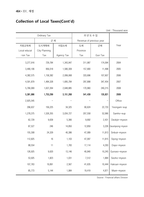# **Collection of Local Taxes(Cont'd)**

Unit : Thousand won

|              | Ordinary Tax  |            | 과 년 도 수 입                |         |                       |
|--------------|---------------|------------|--------------------------|---------|-----------------------|
|              | 군세            |            | Revenue of previous year |         |                       |
| 지방교육세        | 도시계획세         | 사업소세       | 도세                       | 군세      | Year                  |
| Local educat | City Planning |            | Province                 |         |                       |
| $-i$ on Tax  | Tax           | Agency Tax | Tax                      | Gun Tax |                       |
| 3,277,916    | 729,784       | 1,343,947  | 311,987                  | 174,094 | 2004                  |
| 3,490,106    | 956,018       | 1,580,309  | 157,900                  | 11,498  | 2005                  |
| 4,382,575    | 1,158,382     | 2,099,068  | 333,696                  | 107,607 | 2006                  |
| 4,591,879    | 1,484,328     | 1,695,784  | 297,898                  | 347,454 | 2007                  |
| 5,766,069    | 1,637,264     | 2,648,885  | 170,960                  | 240,215 | 2008                  |
| 5,381,886    | 1,753,299     | 3,151,268  | 541,439                  | 135,821 | 2009                  |
| 2,925,545    |               |            |                          |         | Office                |
| 296,637      | 156,225       | 34,325     | 90,624                   | 22,733  | Yeongam-eup           |
| 1,278,375    | 1,526,355     | 3,034,727  | 207,558                  | 52,066  | Samho-eup             |
| 62,729       | 9,639         | 5,366      | 9,692                    | 2,431   | Deokjin-myeon         |
| 87,527       | 246           | 14,850     | 12,859                   | 3,226   | Geumjeong-myeon       |
| 155,308      | 24,329        | 40,386     | 47,089                   | 11,813  | Sinbuk-myeon          |
| 112,825      | 16            | 1,103      | 47,097                   | 11,815  | Sijong-myeon          |
| 88,554       | 11            | 1,783      | 17,114                   | 4,293   | Dopo-myeon            |
| 126,925      | 9,620         | 13,146     | 40,840                   |         | 10,245   Gunseo-myeon |
| 53,925       | 1,823         | 1,031      | 7,512                    | 1,884   | Seoho-myeon           |
| 107,763      | 19,891        | 2,567      | 41,635                   | 10,444  | Haksan-myeon          |
| 85,773       | 5,144         | 1,984      | 19,419                   | 4,871   | Miam-myeon            |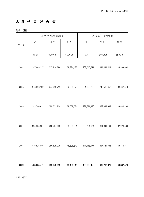# **3. 예 산 결 산 총 괄**

단위 : 천원

|        |             | 예산현액(A) Budget |              |               | 세 입(B) Revenues |            |
|--------|-------------|----------------|--------------|---------------|-----------------|------------|
| 연<br>별 | 계           | 일 반            | 특 별          | 계             | 일 반             | 특 별        |
|        | Total       | General        | Special      | Total         | General         | Special    |
| 2004   | 257,909,217 | 227,914,794    | 29,994,423   | 263,040,511   | 234, 231, 419   | 28,809,092 |
| 2005   | 276,826,132 | 244,492,759    | 32, 333, 373 | 281,628,865   | 248,586,452     | 33,042,413 |
| 2006   | 283,790,421 | 255,721,900    | 28,068,521   | 287,671,936   | 258,039,638     | 29,632,298 |
| 2007   | 325,306,867 | 288,407,006    | 36,899,861   | 339,764,674   | 301,841,194     | 37,923,480 |
| 2008   | 439,525,046 | 390,629,206    | 48,895,840   | 447, 115, 177 | 397,741,566     | 49,373,611 |
| 2009   | 483,605,471 | 435,448,658    | 48,156,813   | 488,606,455   | 439,268,879     | 49,337,576 |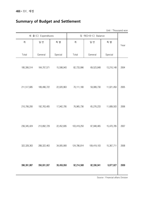# **Summary of Budget and Settlement**

Unit : Thousand won

|               | 세 출 (C) Expenditures |            | 잉 여(D=B-C) Balance |             |            |      |
|---------------|----------------------|------------|--------------------|-------------|------------|------|
| 계             | 일 반                  | 특 별        | 계                  | 일 반         | 특 별        | Year |
| Total         | General              | Special    | Total              | General     | Special    |      |
| 180,306,514   | 164,707,571          | 15,598,943 | 82,733,996         | 69,523,848  | 13,210,148 | 2004 |
| 211,517,685   | 189,496,722          | 22,020,963 | 70,111,180         | 59,089,730  | 11,021,450 | 2005 |
| 210,706,200   | 192,763,405          | 17,942,795 | 76,965,736         | 65,276,233  | 11,689,503 | 2006 |
| 236, 345, 424 | 213,892,729          | 22,452,695 | 103,419,250        | 87,948,465  | 15,470,785 | 2007 |
| 322,328,363   | 288,322,463          | 34,005,900 | 124,786,814        | 109,419,103 | 15,367,711 | 2008 |
| 396, 391, 887 | 356,931,937          | 39,459,950 | 92,214,568         | 82,336,941  | 9,877,627  | 2009 |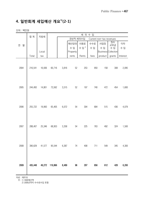# **4. 일반회계 세입예산 개요1)(2-1)**

단위 : 백만원

|        | 합계      | 지방세    | 세 외 수 입 |       |          |        |      |                          |                     |          |
|--------|---------|--------|---------|-------|----------|--------|------|--------------------------|---------------------|----------|
|        |         |        |         |       | 경상적 세외수입 |        |      | Current non-tax revenues |                     |          |
| 연<br>별 |         |        |         |       | 재산임대     | 사용료    | 수수료  | 사업장                      | 장수<br>교부금           | 이자       |
|        |         |        |         |       | 수 입      | 수 입 2) | 수 입  | 수 입                      | 수 입                 | 수 입      |
|        |         | Local  |         |       | Property |        |      |                          | Business Collection |          |
|        | Total   | tax    |         |       | rents    | Rents  | fees | product                  | grants              | Interest |
| 2004   | 216,541 | 16,936 | 60,716  | 3,816 | 52       | 253    | 950  | 158                      | 308                 | 2,095    |
| 2005   | 244,493 | 14,801 | 73,562  | 3,515 | 52       | 197    | 740  | 472                      | 454                 | 1,600    |
| 2006   | 255,722 | 19,993 | 65,405  | 6,072 | 54       | 304    | 684  | 515                      | 436                 | 4,079    |
| 2007   | 288,407 | 25,346 | 68,953  | 3,358 | 54       | 225    | 763  | 492                      | 324                 | 1,500    |
| 2008   | 390,629 | 41,577 | 95,544  | 6,387 | 74       | 408    | 711  | 549                      | 345                 | 4,300    |
| 2009   | 435,448 | 49,272 | 119,866 | 8,489 | 96       | 297    | 856  | 612                      | 428                 | 6,200    |

자료 : 재무과

주 : 1) 최종예산액

2) 2006년까지 수수료수입 포함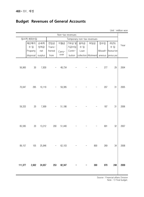# **Budget Revenues of General Accounts**

| UTIIL · THIIIIUIT WUTT<br>Non-tax revenues |                         |                   |                          |               |                            |                    |                            |                 |                            |      |
|--------------------------------------------|-------------------------|-------------------|--------------------------|---------------|----------------------------|--------------------|----------------------------|-----------------|----------------------------|------|
|                                            | 임시적 세외수입                |                   |                          |               |                            |                    | Temporary non-tax revenues |                 |                            |      |
|                                            | 재산매각<br>수 입<br>Property | 순세계<br>잉여금<br>net | 전입금<br>Trans-<br>frerred | 이월금<br>Carry- | │기부금 및│<br>기금수입<br>Contri- | 융자금<br>수 입<br>Loan | 부담금                        | 잡수입<br>Missell- | 과년도<br>수 입<br>Revenue from | Year |
|                                            | disposal                | surplus           | from                     | over          | bution                     |                    | collection Allotment       | aneous          | previous year              |      |
| 56,900                                     | 30                      | 7,830             | $\overline{\phantom{a}}$ | 48,734        |                            |                    |                            | 277             | 29                         | 2004 |
| 70,047                                     | 295                     | 10,119            |                          | 59,395        |                            |                    |                            | 207             | 31                         | 2005 |
| 59,333                                     | $20\,$                  | 7,909             |                          | 51,186        |                            |                    |                            | 187             | 31                         | 2006 |
| 65,595                                     | $20\,$                  | 13,212            | 200                      | 51,440        |                            |                    |                            | 691             | 32                         | 2007 |
| 89,157                                     | 105                     | 25,846            |                          | 62,103        |                            |                    | 800                        | 269             | 34                         | 2008 |
|                                            | 111,377 2,602 24,657    |                   | 253                      | 82,347        |                            |                    | 300                        | 970             | 248                        | 2009 |

Unit : million won

Source : Financial affairs Division Note : 1) Final budget.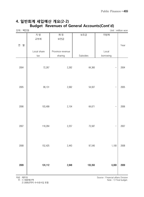## **4. 일반회계 세입예산 개요(2-2) Budget Revenues of General Accounts(Cont'd)**

| 단위 : 백만원 |             |                  |          |           | Unit: million won |
|----------|-------------|------------------|----------|-----------|-------------------|
|          | 지 방         | 재 정              | 보조금      | 지방채       |                   |
|          | 교부세         | 보전금              |          |           |                   |
|          |             |                  |          |           |                   |
| 연<br>별   |             |                  |          |           | Year              |
|          | Local share | Province revenue |          | Local     |                   |
|          | tax         | sharing          | Subsides | borrowing |                   |
|          |             |                  |          |           |                   |
|          |             |                  |          |           |                   |
| 2004     | 72,267      | 2,262            | 64,360   |           | 2004              |
|          |             |                  |          |           |                   |
|          |             |                  |          |           |                   |
|          |             |                  |          |           |                   |
| 2005     | 99,131      | 2,062            | 54,937   |           | 2005              |
|          |             |                  |          |           |                   |
|          |             |                  |          |           |                   |
|          |             |                  |          |           |                   |
| 2006     | 103,499     | 2,154            | 64,671   |           | 2006              |
|          |             |                  |          |           |                   |
|          |             |                  |          |           |                   |
|          |             |                  |          |           |                   |
|          |             |                  |          |           |                   |
| 2007     | 118,264     | 2,257            | 73,587   |           | 2007              |
|          |             |                  |          |           |                   |
|          |             |                  |          |           |                   |
|          |             |                  |          |           |                   |
| 2008     | 152,425     | 2,443            | 97,540   | 1,100     | 2008              |
|          |             |                  |          |           |                   |
|          |             |                  |          |           |                   |
|          |             |                  |          |           |                   |
| 2009     | 124,112     | 2,848            | 133,350  | 6,000     | 2009              |
|          |             |                  |          |           |                   |
|          |             |                  |          |           |                   |

#### 자료 : 재무과

주 : 1) 최종예산액

2) 2006년까지 수수료수입 포함

Source : Financial affairs Division Note : 1) Final budget.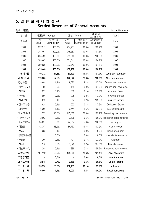## **5. 일 반 회 계 세 입 결 산 Settled Revenues of General Accounts**

단위 : 백만원 Unit : million won

| 연<br>별      | 예산현액        | Budget                |             | 결산 Actual             | 예 산 대<br>결산비율(%)          | Year &                               |
|-------------|-------------|-----------------------|-------------|-----------------------|---------------------------|--------------------------------------|
| 과목별         | 금액<br>Value | 구성비(%)<br>Composition | 금액<br>Value | 구성비(%)<br>Composition | Actual ratio<br>to Budget | Item                                 |
| 2004        | 227,915     | 100.0%                | 234,231     | 100.0%                | 102.7%                    | 2004                                 |
| 2005        | 244,493     | 100.0%                | 248,587     | 100.0%                | 101.6%                    | 2005                                 |
| 2006        | 255,722     | 100.0%                | 258,040     | 100.0%                | 100.9%                    | 2006                                 |
| 2007        | 288,407     | 100.0%                | 301,841     | 100.0%                | 104.7%                    | 2007                                 |
| 2008        | 390,629     | 100.0%                | 397,742     | 100.0%                | 101.8%                    | 2008                                 |
| 2009        | 435,448     | 100.0%                | 439,269     | 100.0%                | 100.9%                    | 2009                                 |
| 지방세수입       | 49,272      | 11.3%                 | 50,103      | 11.4%                 | 101.7%                    | Local tax revenues                   |
| 세 외 수 입     | 119,866     | 27.5%                 | 122,942     | 28.0%                 | 102.6%                    | Non-tax revenues                     |
| ·경상수입       | 8,489       | 1.9%                  | 9,082       | 2.1%                  | 107.0%                    | Current tax revenues                 |
| - 재산임대수입    | 96          | 0.0%                  | 158         | 0.0%                  | 164.6%                    | Property rent revenues               |
| - 사용료       | 297         | 0.1%                  | 336         | 0.1%                  | 113.1%                    | revenue of rents                     |
| - 수수료       | 856         | 0.2%                  | 975         | 0.2%                  | 113.9%                    | revenue of Fees                      |
| - 사업수입      | 612         | 0.1%                  | 667         | 0.2%                  | 109.0%                    | Business income                      |
| - 징수교부금     | 428         | 0.1%                  | 502         | 0.1%                  | 117.3%                    | <b>Collection Grants</b>             |
| - 이자수입      | 6,200       | 1.4%                  | 6,444       | 1.5%                  | 103.9%                    | <b>Interest Receipts</b>             |
| · 임시적 수입    | 111,377     | 25.6%                 | 113,860     | 25.9%                 | 102.2%                    | Transitory tax revenue               |
| - 재산매각수입    | 2,602       | 0.6%                  | 2,608       | 0.6%                  | 100.2%                    | Proceeds from disposal of properties |
| - 순세계잉여금    | 24,657      | 5.7%                  | 24,657      | 5.6%                  | 100.0%                    | Nut surplus                          |
| - 이월금       | 82,347      | 18.9%                 | 84,762      | 19.3%                 | 102.9%                    | Carries over                         |
| - 전입금       | 253         | 0.1%                  |             | 0.0%                  | 0.0%                      | Transferred from                     |
| - 융자금회수수입   |             | 0.0%                  |             | 0.0%                  | 0.0%                      | Loan collection revenue              |
| - 부담금       | 300         | 0.1%                  | 401         | 0.1%                  | 133.7%                    | Alloment                             |
| - 잡수입       | 970         | 0.2%                  | 1,046       | 0.2%                  | 107.8%                    | Miscellaneous                        |
| - 과년도 수입    | 248         | 0.1%                  | 386         | 0.1%                  | 155.6%                    | Revenues from previous               |
| 지방교부세       | 124,112     | 28.5%                 | 125,503     | 28.6%                 | 101.1%                    | Local share tax                      |
| 지방양여금       |             | 0.0%                  |             | 0.0%                  | 0.0%                      | Local transfers                      |
| 조정교부금       | 2,848       | 0.7%                  | 2,586       | 0.6%                  | 90.8%                     | Control grants                       |
| 조<br>금<br>보 | 133,350     | 30.6%                 | 132,135     | 30.1%                 | 99.1%                     | subsidies                            |
| 방<br>채<br>지 | 6,000       | 1.4%                  | 6,000       | 1.4%                  | 100.0%                    | Local borrowing                      |

자료 : 재무과 Source : Financial affairs Division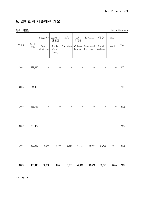# **6. 일반회계 세출예산 개요**

단위 : 백만원 Unit : million won

|      |              | 일반공공행정                    | 공공질서<br>및 안전              | 교육        | 문화<br>및 관광 | 환경보호                                 | 사회복지              | 보건     |      |
|------|--------------|---------------------------|---------------------------|-----------|------------|--------------------------------------|-------------------|--------|------|
| 연도별  | 합 계<br>Total | General<br>administration | Public<br>Order<br>Safety | Education | Tourism    | Culture, Protection of<br>Envionment | Social<br>Welfare | Health | Year |
| 2004 | 227,915      |                           |                           |           |            |                                      |                   |        | 2004 |
| 2005 | 244,493      |                           |                           |           |            |                                      |                   |        | 2005 |
| 2006 | 255,722      |                           |                           |           |            |                                      |                   |        | 2006 |
| 2007 | 288,407      |                           |                           |           |            |                                      |                   |        | 2007 |
| 2008 | 390,629      | 19,940                    | 3,100                     | 3,537     | 41,173     | 42,057                               | 51,703            | 6,534  | 2008 |
| 2009 | 435,448      | 18,816                    | 13,351                    | 3,766     | 46,232     | 36,029                               | 61,023            | 6,004  | 2009 |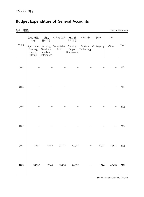# **Budget Expenditure of General Accounts**

단위 : 백만원 Unit : million won

| Contingency<br>Other | Year<br>2004   |
|----------------------|----------------|
|                      |                |
|                      |                |
|                      |                |
|                      | 2005           |
|                      | 2006           |
|                      |                |
|                      | 2007           |
|                      | 2008<br>42,014 |
|                      |                |
| 1,564                | 42,478<br>2009 |
|                      | 6,778          |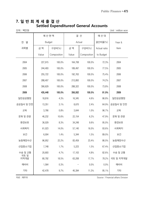## **7. 일 반 회 계 세 출 결 산 Settled Expenditureof General Accounts**

| 단위 : 백만원 | Unit: million won |
|----------|-------------------|
|          |                   |

|                 | 예산현액          |             | 결 산     |             | 예산 대         |           |
|-----------------|---------------|-------------|---------|-------------|--------------|-----------|
| 연<br>별          | <b>Budget</b> |             | Actual  |             | 결산비율(%)      | Year &    |
| 과목별             | 금 액           | 구성비(%)      | 금 액     | 구성비(%)      | Actual ratio | Item      |
|                 | Value         | Composition | Value   | Composition | to Budget    |           |
| 2004            | 227,915       | 100.0%      | 164,708 | 100.0%      | 72.3%        | 2004      |
| 2005            | 244,493       | 100.0%      | 189,497 | 100.0%      | 77.5%        | 2005      |
| 2006            | 255,722       | 100.0%      | 192,763 | 100.0%      | 75.4%        | 2006      |
| 2007            | 288,407       | 100.0%      | 213,893 | 100.0%      | 74.2%        | 2007      |
| 2008            | 390,629       | 100.0%      | 288,322 | 100.0%      | 73.8%        | 2008      |
| 2009            | 435,448       | 100.0%      | 356,932 | 100.0%      | 81.9%        | 2009      |
| 일반공공행정          | 18,816        | 4.3%        | 16,345  | 4.6%        | 86.8%        | 일반공공행정    |
| 공공질서 및 안전       | 13,351        | 3.1%        | 8,670   | 2.4%        | 64.9%        | 공공질서 및 안전 |
| 교육              | 3,766         | 0.8%        | 3,644   | 1.0%        | 96.7%        | 교육        |
| 문화 및 관광         | 46,232        | 10.6%       | 22,154  | 6.2%        | 47.9%        | 문화 및 관광   |
| 환경보호            | 36,029        | 8.3%        | 34,248  | 9.6%        | 95.0%        | 환경보호      |
| 사회복지            | 61,023        | 14.0%       | 57,140  | 16.0%       | 93.6%        | 사회복지      |
| 보건              | 6,004         | 1.4%        | 5,344   | 1.5%        | 89.0%        | 보건        |
| 농림해양수산          | 96,952        | 22.2%       | 83,459  | 23.4%       | 86.0%        | 농림해양수산    |
| 산업중소기업          | 7,748         | 1.7%        | 5,223   | 1.5%        | 67.4%        | 산업중소기업    |
| 수송 및 교통<br>국토 및 | 20,693        | 4.7%        | 17,103  | 4.8%        | 82.6%        | 수송 및 교통   |
| 지역개발            | 80,792        | 18.5%       | 63,208  | 17.7%       | 78.2%        | 국토 및 지역개발 |
| 예비비             | 1,564         | 0.3%        |         | 0.0%        | 0.0%         | 예비비       |
| 기타              | 42,478        | 9.7%        | 40,394  | 11.3%       | 95.1%        | 기타        |

자료 : 재무과 Source : Financial affairs Division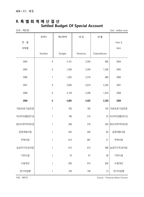## **8. 특 별 회 계 예 산 결 산 Settled Budget Of Special Account**

단위 : 백만원 Unit : million won

|             | 회계수              | 예산현액          | 세 입     | 세 출          |                |
|-------------|------------------|---------------|---------|--------------|----------------|
| 연<br>별      |                  |               |         |              | Year &         |
| 과목별         |                  |               |         |              | Item           |
|             | Number           | <b>Budget</b> | Revenue | Expenditures |                |
| 2004        | $\boldsymbol{6}$ | 2,101         | 2,043   | 906          | 2004           |
| 2005        | $\boldsymbol{6}$ | 1,930         | 2,044   | 1,036        | 2005           |
| 2006        | $\overline{7}$   | 1,925         | 2,216   | 989          | 2006           |
| 2007        | $\boldsymbol{9}$ | 3,695         | 3,674   | 2,392        | 2007           |
| 2008        | $\, 8$           | 4,129         | 4,296   | 1,819        | 2008           |
| 2009        | 9                | 4,865         | 4,932   | 2,329        | 2009           |
| 의료보호기금운영    | $\mathbf{1}$     | 783           | 782     | 705          | 의료보호기금운영       |
| 저소득주민생활안정기금 | $\mathbf{1}$     | 196           | 210     |              | 33 저소득주민생활안정기금 |
| 발전소주변지역지원사업 | $\mathbf{1}$     | 268           | 270     | 264          | 발전소주변지역지원사업    |
| 공영개발사업      | $\mathbf{1}$     | 450           | 450     | 84           | 공영개발사업         |
| 주택사업        | 1                | 813           | 867     | 21           | 주택사업           |
| 농공지구조성사업    | $\mathbf{1}$     | 615           | 613     | 486          | 농공지구조성사업       |
| 기반시설        | 1                | 76            | 67      | 38           | 기반시설           |
| 수질개선        | $\mathbf{1}$     | 936           | 915     | 626          | 수질개선           |
| 장기미집행       | $\mathbf{1}$     | 728           | 758     | 72           | 장기미집행          |

자료 : 재무과 Source : Financial affairs Division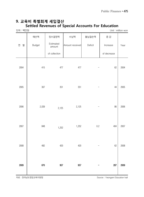#### **9. 교육비 특별회계 세입결산 Settled Revenues of Special Accounts For Education**

| 단위 : 백만원 |         |                     |                 |         |             | Unit: million won |
|----------|---------|---------------------|-----------------|---------|-------------|-------------------|
|          | 예산액     | 징수결정액               | 수납액             | 불납결손액   | 증 감         |                   |
| 별<br>연   | Budget  | Estimated<br>amount | Amount received | Deficit | Increase    | Year              |
|          |         | of collection       |                 |         | of decrease |                   |
| 2004     | 415     | 477                 | 477             |         | 62          | 2004              |
| 2005     | $307\,$ | 351                 | 351             |         | 44          | 2005              |
| 2006     | 2,039   | 2,125               | 2,125           |         | 86          | 2006              |
| 2007     | 848     | 1,252               | 1,252           | $0.2\,$ | 404         | 2007              |
| 2008     | 482     | 420                 | 420             |         | 62          | 2008              |
| 2009     | 670     | 957                 | 957             |         | 287         | 2009              |

자료 : 전라남도영암교육지원청 Source : Yeongam Education hall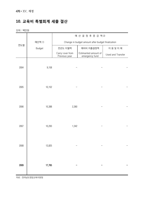# **10. 교육비 특별회계 세출 결산**

단위 : 백만원

|      |        |                                                   | 예산결정후증감액2                              |                   |  |  |
|------|--------|---------------------------------------------------|----------------------------------------|-------------------|--|--|
|      | 예산액 ①  | Change in budget amount after budget finalization |                                        |                   |  |  |
| 연도별  | Budget | 전년도 이월액                                           | 예비비 지출결정액                              | 이용 및 이 체          |  |  |
|      |        | Carry-over from<br>Previous year                  | Estimanted amount of<br>emergency fund | Used and Transfer |  |  |
|      |        |                                                   |                                        |                   |  |  |
| 2004 | 9,158  |                                                   |                                        |                   |  |  |
|      |        |                                                   |                                        |                   |  |  |
| 2005 | 10,152 |                                                   |                                        |                   |  |  |
|      |        |                                                   |                                        |                   |  |  |
|      |        |                                                   |                                        |                   |  |  |
| 2006 | 10,388 | 2,360                                             |                                        |                   |  |  |
|      |        |                                                   |                                        |                   |  |  |
|      |        |                                                   |                                        |                   |  |  |
| 2007 | 10,293 | 1,542                                             |                                        |                   |  |  |
|      |        |                                                   |                                        |                   |  |  |
|      |        |                                                   |                                        |                   |  |  |
| 2008 | 13,825 |                                                   |                                        |                   |  |  |
|      |        |                                                   |                                        |                   |  |  |
| 2009 | 17,765 |                                                   |                                        |                   |  |  |
|      |        |                                                   |                                        |                   |  |  |
|      |        |                                                   |                                        |                   |  |  |

자료 : 전라남도영암교육지원청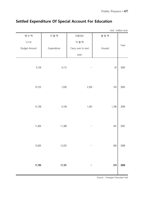|                                                     |             |                    |        | Unit: million won |
|-----------------------------------------------------|-------------|--------------------|--------|-------------------|
| 예 산 액                                               | 지 출 액       | 다음년도               | 불용액    |                   |
| $\textcircled{\small{1}} + \textcircled{\small{2}}$ |             | 이 월 액              |        |                   |
| <b>Budget Amount</b>                                | Expenditure | Carry over to next | Unused | Year              |
|                                                     |             | year               |        |                   |
| 9,158                                               | 9,115       |                    | 43     | 2004              |
| 10,152                                              | 7,630       | 2,359              | 163    | 2005              |
| 12,748                                              | 9,149       | 1,543              | 1,786  | 2006              |
| 11,835                                              | 11,389      |                    | 447    | 2007              |
| 13,825                                              | 13,225      |                    | 600    | 2008              |
| 17,765                                              | 17,191      |                    | 574    | 2009              |

# **Settled Expenditure Of Special Account For Education**

Source : Yeongam Education hall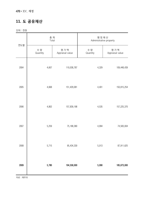# **11. 도 공유재산**

단위 : 천원

|      | 총 계<br>Total    |                        | 행정재산<br>Administrative property |                        |
|------|-----------------|------------------------|---------------------------------|------------------------|
| 연도별  | 수 량<br>Quantity | 평가액<br>Appraisal value | 수 량<br>Quantity                 | 평가액<br>Appraisal value |
| 2004 | 4,607           | 110,038,787            | 4,329                           | 109,448,439            |
| 2005 | 4,668           | 151,429,081            | 4,401                           | 150,815,254            |
| 2006 | 4,802           | 157,839,198            | 4,535                           | 157,225,370            |
| 2007 | 5,259           | 75,188,380             | 4,994                           | 74,583,004             |
| 2008 | 5,715           | 95,434,330             | 5,013                           | 87,911,625             |
| 2009 | 5,780           | 194,558,000            | 5,090                           | 185,673,000            |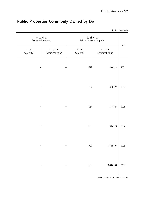|                 |                           |                        |                        | Unit: 1000 won |
|-----------------|---------------------------|------------------------|------------------------|----------------|
|                 | 보존재산<br>Reserved property | Miscellaneous property | 일반재산                   | Year           |
| 수 량<br>Quantity | 평가액<br>Appraisal value    | 수 량<br>Quantity        | 평가액<br>Appraisal value |                |
|                 |                           | 278                    | 590,348                | 2004           |
|                 |                           | 267                    | 613,827                | 2005           |
|                 |                           | 267                    | 613,828                | 2006           |
|                 |                           | 265                    | 605,376                | 2007           |
|                 |                           | 702                    | 7,522,705              | 2008           |
|                 |                           | 690                    | 8,885,000              | 2009           |

# **Public Properties Commonly Owned by Do**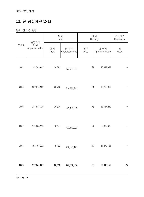# **12. 군 공유재산(2-1)**

단위 : 천㎡, 건, 천원

|      | 총평가액                     | 토 지<br>Land |                        |             | 건 물<br>Building        | 기계기구<br>Machinary |
|------|--------------------------|-------------|------------------------|-------------|------------------------|-------------------|
| 연도별  | Total<br>Appraisal value | 면 적<br>Area | 평가액<br>Appraisal value | 면 적<br>Area | 평가액<br>Appraisal value | 점<br>Piece        |
| 2004 | 198,765,682              | 20,581      | 177,781,383            | 81          | 20,849,957             |                   |
| 2005 | 232,674,522              | 20,782      | 214,270,811            | 71          | 18,269,369             |                   |
| 2006 | 244,981,325              | 20,974      | 221, 105, 381          | 75          | 22,727,240             |                   |
| 2007 | 519,886,353              | 18,177      | 422,112,097            | 74          | 29,367,465             |                   |
| 2008 | 493, 168, 222            | 19,103      | 432,693,143            | $80\,$      | 44,272,166             |                   |
| 2009 | 577,241,007              | 20,538      | 447,082,064            | 86          | 52,045,155             | 25                |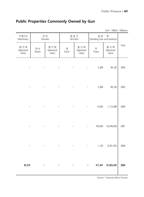| <b>Public Properties Commonly Owned by Gun</b> |  |  |  |  |
|------------------------------------------------|--|--|--|--|
|------------------------------------------------|--|--|--|--|

| Unit: 1000 m <sup>2</sup> , 1000 won |  |
|--------------------------------------|--|
|--------------------------------------|--|

| 기계기구<br>Machinary         | 선 박<br>Vessels |                           | 항공기<br>Aircrafts |                           | 입목 · 죽<br>Standing tree and bamboo |                           |      |
|---------------------------|----------------|---------------------------|------------------|---------------------------|------------------------------------|---------------------------|------|
| 평가액<br>Appraisal<br>value | 척수<br>Boats    | 평가액<br>Appraisal<br>value | 대<br>Each        | 평가액<br>Appraisal<br>value | 주<br>Trees                         | 평가액<br>Appraisal<br>value | Year |
|                           |                |                           |                  |                           | 3,396                              | 99,126                    | 2004 |
|                           |                |                           |                  |                           | 3,396                              | 99,126                    | 2005 |
|                           |                |                           |                  |                           | 13,903                             | 1,113,488                 | 2006 |
|                           |                |                           |                  |                           | 160,663                            | 54,249,939                | 2007 |
|                           |                |                           |                  |                           | 1,143                              | 6,301,453                 | 2008 |
| 92,310                    |                |                           |                  |                           |                                    | 417,447 67,824,342        | 2009 |